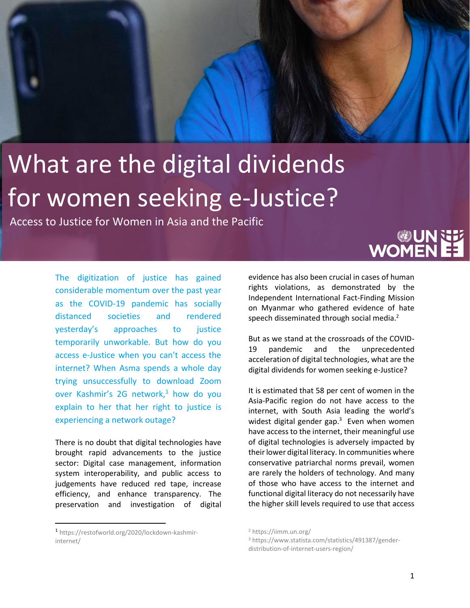## What are the digital dividends for women seeking e-Justice?

Access to Justice for Women in Asia and the Pacific

The digitization of justice has gained considerable momentum over the past year as the COVID-19 pandemic has socially distanced societies and rendered yesterday's approaches to justice temporarily unworkable. But how do you access e-Justice when you can't access the internet? When Asma spends a whole day trying unsuccessfully to download Zoom over Kashmir's 2G network, $1$  how do you explain to her that her right to justice is experiencing a network outage?

There is no doubt that digital technologies have brought rapid advancements to the justice sector: Digital case management, information system interoperability, and public access to judgements have reduced red tape, increase efficiency, and enhance transparency. The preservation and investigation of digital



evidence has also been crucial in cases of human rights violations, as demonstrated by the Independent International Fact-Finding Mission on Myanmar who gathered evidence of hate speech disseminated through social media.<sup>2</sup>

But as we stand at the crossroads of the COVID-19 pandemic and the unprecedented acceleration of digital technologies, what are the digital dividends for women seeking e-Justice?

It is estimated that 58 per cent of women in the Asia-Pacific region do not have access to the internet, with South Asia leading the world's widest digital gender gap.<sup>3</sup> Even when women have access to the internet, their meaningful use of digital technologies is adversely impacted by their lower digital literacy. In communities where conservative patriarchal norms prevail, women are rarely the holders of technology. And many of those who have access to the internet and functional digital literacy do not necessarily have the higher skill levels required to use that access

<sup>1</sup> https://restofworld.org/2020/lockdown-kashmirinternet/

<sup>2</sup> https://iimm.un.org/

<sup>3</sup> https://www.statista.com/statistics/491387/genderdistribution-of-internet-users-region/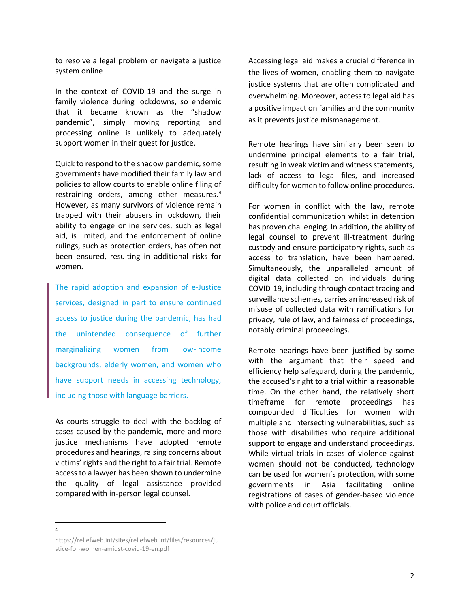to resolve a legal problem or navigate a justice system online

In the context of COVID-19 and the surge in family violence during lockdowns, so endemic that it became known as the "shadow pandemic", simply moving reporting and processing online is unlikely to adequately support women in their quest for justice.

Quick to respond to the shadow pandemic, some governments have modified their family law and policies to allow courts to enable online filing of restraining orders, among other measures. 4 However, as many survivors of violence remain trapped with their abusers in lockdown, their ability to engage online services, such as legal aid, is limited, and the enforcement of online rulings, such as protection orders, has often not been ensured, resulting in additional risks for women.

The rapid adoption and expansion of e-Justice services, designed in part to ensure continued access to justice during the pandemic, has had the unintended consequence of further marginalizing women from low-income backgrounds, elderly women, and women who have support needs in accessing technology, including those with language barriers.

As courts struggle to deal with the backlog of cases caused by the pandemic, more and more justice mechanisms have adopted remote procedures and hearings, raising concerns about victims' rights and the right to a fair trial. Remote access to a lawyer has been shown to undermine the quality of legal assistance provided compared with in-person legal counsel.

Accessing legal aid makes a crucial difference in the lives of women, enabling them to navigate justice systems that are often complicated and overwhelming. Moreover, access to legal aid has a positive impact on families and the community as it prevents justice mismanagement.

Remote hearings have similarly been seen to undermine principal elements to a fair trial, resulting in weak victim and witness statements, lack of access to legal files, and increased difficulty for women to follow online procedures.

For women in conflict with the law, remote confidential communication whilst in detention has proven challenging. In addition, the ability of legal counsel to prevent ill-treatment during custody and ensure participatory rights, such as access to translation, have been hampered. Simultaneously, the unparalleled amount of digital data collected on individuals during COVID-19, including through contact tracing and surveillance schemes, carries an increased risk of misuse of collected data with ramifications for privacy, rule of law, and fairness of proceedings, notably criminal proceedings.

Remote hearings have been justified by some with the argument that their speed and efficiency help safeguard, during the pandemic, the accused's right to a trial within a reasonable time. On the other hand, the relatively short timeframe for remote proceedings has compounded difficulties for women with multiple and intersecting vulnerabilities, such as those with disabilities who require additional support to engage and understand proceedings. While virtual trials in cases of violence against women should not be conducted, technology can be used for women's protection, with some governments in Asia facilitating online registrations of cases of gender-based violence with police and court officials.

4

https://reliefweb.int/sites/reliefweb.int/files/resources/ju stice-for-women-amidst-covid-19-en.pdf